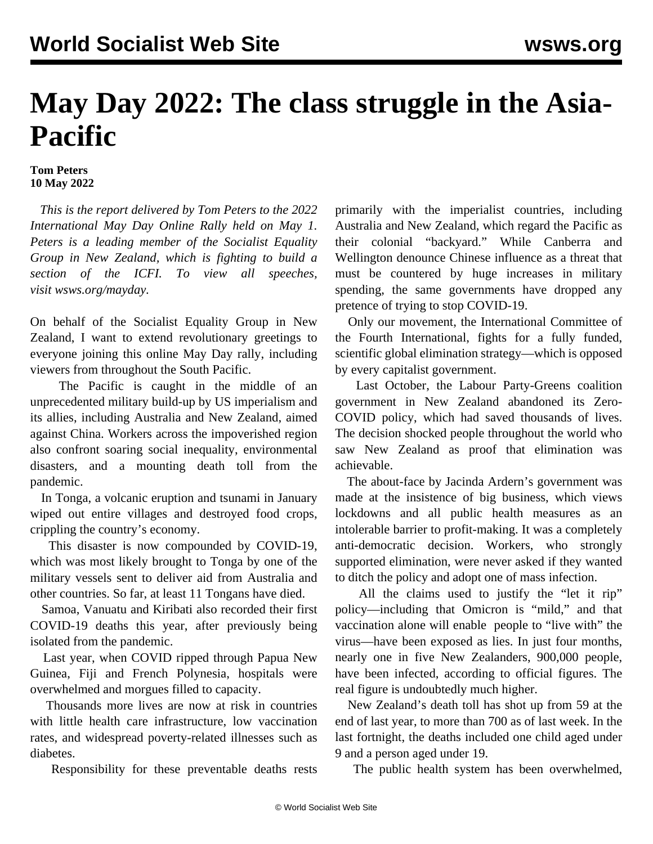## **May Day 2022: The class struggle in the Asia-Pacific**

## **Tom Peters 10 May 2022**

 *This is the report delivered by Tom Peters to the 2022 International May Day Online Rally held on May 1. Peters is a leading member of the Socialist Equality Group in New Zealand, which is fighting to build a section of the ICFI. To view all speeches, visit [wsws.org/mayday](/mayday).*

On behalf of the Socialist Equality Group in New Zealand, I want to extend revolutionary greetings to everyone joining this online May Day rally, including viewers from throughout the South Pacific.

 The Pacific is caught in the middle of an unprecedented military build-up by US imperialism and its allies, including Australia and New Zealand, aimed against China. Workers across the impoverished region also confront soaring social inequality, environmental disasters, and a mounting death toll from the pandemic.

 In Tonga, a volcanic eruption and tsunami in January wiped out entire villages and destroyed food crops, crippling the country's economy.

 This disaster is now compounded by COVID-19, which was most likely brought to Tonga by one of the military vessels sent to deliver aid from Australia and other countries. So far, at least 11 Tongans have died.

 Samoa, Vanuatu and Kiribati also recorded their first COVID-19 deaths this year, after previously being isolated from the pandemic.

 Last year, when COVID ripped through Papua New Guinea, Fiji and French Polynesia, hospitals were overwhelmed and morgues filled to capacity.

 Thousands more lives are now at risk in countries with little health care infrastructure, low vaccination rates, and widespread poverty-related illnesses such as diabetes.

Responsibility for these preventable deaths rests

primarily with the imperialist countries, including Australia and New Zealand, which regard the Pacific as their colonial "backyard." While Canberra and Wellington denounce Chinese influence as a threat that must be countered by huge increases in military spending, the same governments have dropped any pretence of trying to stop COVID-19.

 Only our movement, the International Committee of the Fourth International, fights for a fully funded, scientific global elimination strategy—which is opposed by every capitalist government.

 Last October, the Labour Party-Greens coalition government in New Zealand abandoned its Zero-COVID policy, which had saved thousands of lives. The decision shocked people throughout the world who saw New Zealand as proof that elimination was achievable.

 The about-face by Jacinda Ardern's government was made at the insistence of big business, which views lockdowns and all public health measures as an intolerable barrier to profit-making. It was a completely anti-democratic decision. Workers, who strongly supported elimination, were never asked if they wanted to ditch the policy and adopt one of mass infection.

 All the claims used to justify the "let it rip" policy—including that Omicron is "mild," and that vaccination alone will enable people to "live with" the virus—have been exposed as lies. In just four months, nearly one in five New Zealanders, 900,000 people, have been infected, according to official figures. The real figure is undoubtedly much higher.

 New Zealand's death toll has shot up from 59 at the end of last year, to more than 700 as of last week. In the last fortnight, the deaths included one child aged under 9 and a person aged under 19.

The public health system has been overwhelmed,